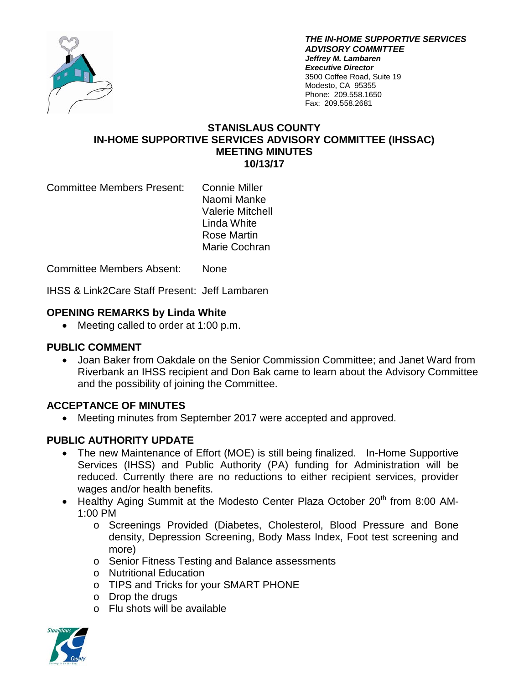

*THE IN-HOME SUPPORTIVE SERVICES ADVISORY COMMITTEE Jeffrey M. Lambaren Executive Director* 3500 Coffee Road, Suite 19 Modesto, CA 95355 Phone: 209.558.1650 Fax: 209.558.2681

## **STANISLAUS COUNTY IN-HOME SUPPORTIVE SERVICES ADVISORY COMMITTEE (IHSSAC) MEETING MINUTES 10/13/17**

Committee Members Present: Connie Miller

Naomi Manke Valerie Mitchell Linda White Rose Martin Marie Cochran

Committee Members Absent: None

IHSS & Link2Care Staff Present: Jeff Lambaren

# **OPENING REMARKS by Linda White**

• Meeting called to order at 1:00 p.m.

#### **PUBLIC COMMENT**

• Joan Baker from Oakdale on the Senior Commission Committee; and Janet Ward from Riverbank an IHSS recipient and Don Bak came to learn about the Advisory Committee and the possibility of joining the Committee.

# **ACCEPTANCE OF MINUTES**

• Meeting minutes from September 2017 were accepted and approved.

# **PUBLIC AUTHORITY UPDATE**

- The new Maintenance of Effort (MOE) is still being finalized. In-Home Supportive Services (IHSS) and Public Authority (PA) funding for Administration will be reduced. Currently there are no reductions to either recipient services, provider wages and/or health benefits.
- Healthy Aging Summit at the Modesto Center Plaza October 20<sup>th</sup> from 8:00 AM-1:00 PM
	- o Screenings Provided (Diabetes, Cholesterol, Blood Pressure and Bone density, Depression Screening, Body Mass Index, Foot test screening and more)
	- o Senior Fitness Testing and Balance assessments
	- o Nutritional Education
	- o TIPS and Tricks for your SMART PHONE
	- o Drop the drugs
	- o Flu shots will be available